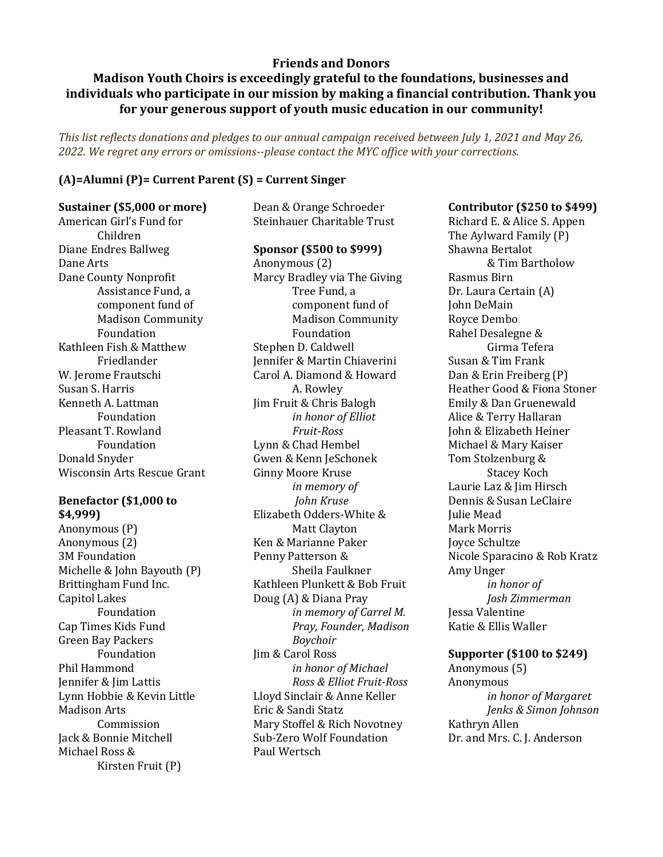# **Friends and Donors**

# **Madison Youth Choirs is exceedingly grateful to the foundations, businesses and individuals who participate in our mission by making a financial contribution. Thank you for your generous support of youth music education in our community!**

*This list reflects donations and pledges to our annual campaign received between July 1, 2021 and May 26, 2022. We regret any errors or omissions--please contact the MYC office with your corrections.*

## **(A)=Alumni (P)= Current Parent (S) = Current Singer**

### **Sustainer (\$5,000 or more)**

American Girl's Fund for Children Diane Endres Ballweg Dane Arts Dane County Nonprofit Assistance Fund, a component fund of Madison Community Foundation Kathleen Fish & Matthew Friedlander W. Jerome Frautschi Susan S. Harris Kenneth A. Lattman Foundation Pleasant T. Rowland Foundation Donald Snyder Wisconsin Arts Rescue Grant

### **Benefactor (\$1,000 to \$4,999)**

Anonymous (P) Anonymous (2) 3M Foundation Michelle & John Bayouth (P) Brittingham Fund Inc. Capitol Lakes Foundation Cap Times Kids Fund Green Bay Packers Foundation Phil Hammond Jennifer & Jim Lattis Lynn Hobbie & Kevin Little Madison Arts Commission Jack & Bonnie Mitchell Michael Ross & Kirsten Fruit (P)

Dean & Orange Schroeder Steinhauer Charitable Trust

### **Sponsor (\$500 to \$999)**

Anonymous (2) Marcy Bradley via The Giving Tree Fund, a component fund of Madison Community Foundation Stephen D. Caldwell Jennifer & Martin Chiaverini Carol A. Diamond & Howard A. Rowley Jim Fruit & Chris Balogh *in honor of Elliot Fruit-Ross* Lynn & Chad Hembel Gwen & Kenn JeSchonek Ginny Moore Kruse *in memory of John Kruse* Elizabeth Odders-White & Matt Clayton Ken & Marianne Paker Penny Patterson & Sheila Faulkner Kathleen Plunkett & Bob Fruit Doug (A) & Diana Pray *in memory of Carrel M. Pray, Founder, Madison Boychoir* Jim & Carol Ross *in honor of Michael Ross & Elliot Fruit-Ross* Lloyd Sinclair & Anne Keller Eric & Sandi Statz Mary Stoffel & Rich Novotney Sub-Zero Wolf Foundation Paul Wertsch

### **Contributor (\$250 to \$499)**

Richard E. & Alice S. Appen The Aylward Family (P) Shawna Bertalot & Tim Bartholow Rasmus Birn Dr. Laura Certain (A) John DeMain Royce Dembo Rahel Desalegne & Girma Tefera Susan & Tim Frank Dan & Erin Freiberg (P) Heather Good & Fiona Stoner Emily & Dan Gruenewald Alice & Terry Hallaran John & Elizabeth Heiner Michael & Mary Kaiser Tom Stolzenburg & Stacey Koch Laurie Laz & Jim Hirsch Dennis & Susan LeClaire Julie Mead Mark Morris Joyce Schultze Nicole Sparacino & Rob Kratz Amy Unger *in honor of Josh Zimmerman* Jessa Valentine Katie & Ellis Waller

# **Supporter (\$100 to \$249)**

Anonymous (5) Anonymous *in honor of Margaret Jenks & Simon Johnson* Kathryn Allen Dr. and Mrs. C. J. Anderson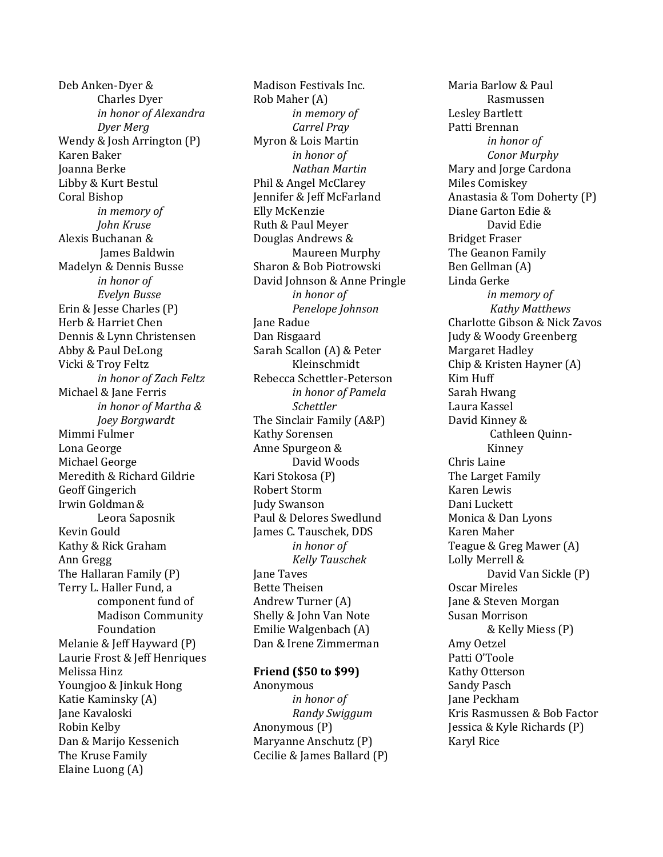Deb Anken-Dyer & Charles Dyer *in honor of Alexandra Dyer Merg* Wendy & Josh Arrington (P) Karen Baker Joanna Berke Libby & Kurt Bestul Coral Bishop *in memory of John Kruse* Alexis Buchanan & James Baldwin Madelyn & Dennis Busse *in honor of Evelyn Busse* Erin & Jesse Charles (P) Herb & Harriet Chen Dennis & Lynn Christensen Abby & Paul DeLong Vicki & Troy Feltz *in honor of Zach Feltz* Michael & Jane Ferris *in honor of Martha & Joey Borgwardt* Mimmi Fulmer Lona George Michael George Meredith & Richard Gildrie Geoff Gingerich Irwin Goldman& Leora Saposnik Kevin Gould Kathy & Rick Graham Ann Gregg The Hallaran Family (P) Terry L. Haller Fund, a component fund of Madison Community Foundation Melanie & Jeff Hayward (P) Laurie Frost & Jeff Henriques Melissa Hinz Youngjoo & Jinkuk Hong Katie Kaminsky (A) Jane Kavaloski Robin Kelby Dan & Marijo Kessenich The Kruse Family Elaine Luong (A)

Madison Festivals Inc. Rob Maher (A) *in memory of Carrel Pray* Myron & Lois Martin *in honor of Nathan Martin* Phil & Angel McClarey Jennifer & Jeff McFarland Elly McKenzie Ruth & Paul Meyer Douglas Andrews & Maureen Murphy Sharon & Bob Piotrowski David Johnson & Anne Pringle *in honor of Penelope Johnson* Jane Radue Dan Risgaard Sarah Scallon (A) & Peter Kleinschmidt Rebecca Schettler-Peterson *in honor of Pamela Schettler* The Sinclair Family (A&P) Kathy Sorensen Anne Spurgeon & David Woods Kari Stokosa (P) Robert Storm Judy Swanson Paul & Delores Swedlund James C. Tauschek, DDS *in honor of Kelly Tauschek* Jane Taves Bette Theisen Andrew Turner (A) Shelly & John Van Note Emilie Walgenbach (A) Dan & Irene Zimmerman

### **Friend (\$50 to \$99)**

Anonymous *in honor of Randy Swiggum* Anonymous (P) Maryanne Anschutz (P) Cecilie & James Ballard (P)

Maria Barlow & Paul Rasmussen Lesley Bartlett Patti Brennan *in honor of Conor Murphy* Mary and Jorge Cardona Miles Comiskey Anastasia & Tom Doherty (P) Diane Garton Edie & David Edie Bridget Fraser The Geanon Family Ben Gellman (A) Linda Gerke *in memory of Kathy Matthews* Charlotte Gibson & Nick Zavos Judy & Woody Greenberg Margaret Hadley Chip & Kristen Hayner (A) Kim Huff Sarah Hwang Laura Kassel David Kinney & Cathleen Quinn-Kinney Chris Laine The Larget Family Karen Lewis Dani Luckett Monica & Dan Lyons Karen Maher Teague & Greg Mawer (A) Lolly Merrell & David Van Sickle (P) Oscar Mireles Jane & Steven Morgan Susan Morrison & Kelly Miess (P) Amy Oetzel Patti O'Toole Kathy Otterson Sandy Pasch Jane Peckham Kris Rasmussen & Bob Factor Jessica & Kyle Richards (P) Karyl Rice